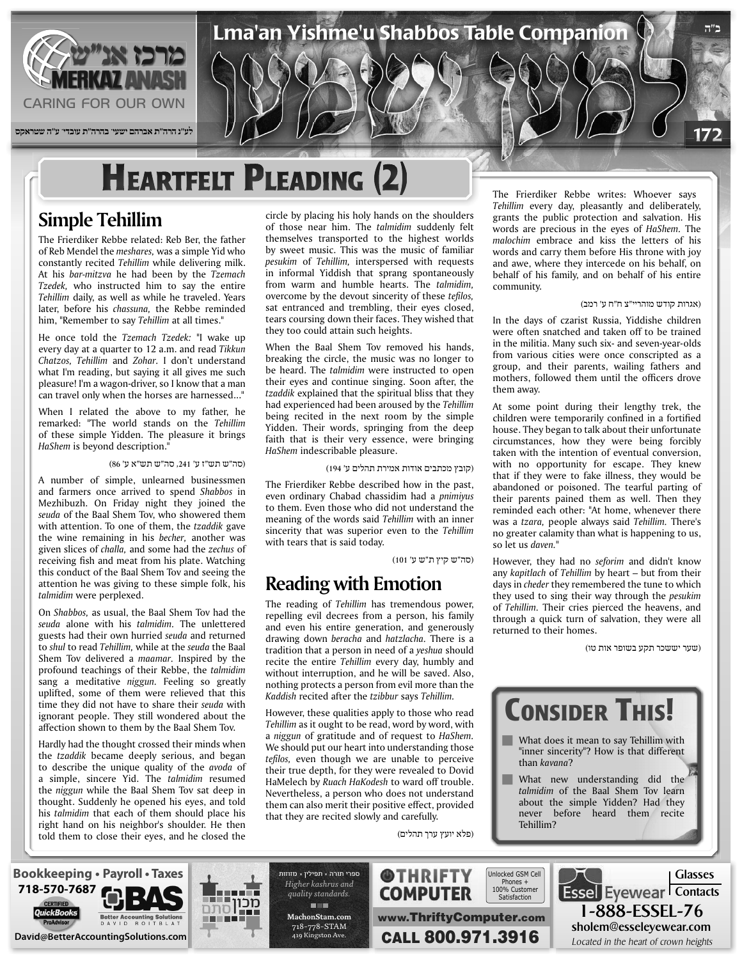

## **HEARTFELT PLEADING**

#### **Simple Tehillim**

The Frierdiker Rebbe related: Reb Ber, the father of Reb Mendel the *meshares*, was a simple Yid who constantly recited *Tehillim* while delivering milk. At his bar-mitzva he had been by the Tzemach Tzedek, who instructed him to say the entire Tehillim daily, as well as while he traveled. Years later, before his *chassuna*, the Rebbe reminded him, "Remember to say Tehillim at all times."

He once told the Tzemach Tzedek: "I wake up every day at a quarter to 12 a.m. and read Tikkun Chatzos, Tehillim and *Zohar*. I don't understand what I'm reading, but saying it all gives me such pleasure! I'm a wagon-driver, so I know that a man can travel only when the horses are harnessed..."

When I related the above to my father, he remarked: "The world stands on the Tehillim of these simple Yidden. The pleasure it brings HaShem is beyond description.<sup>1</sup>

#### (סה"ש תש"ז ע' ,241 סה"ש תש"א ע' 86)

A number of simple, unlearned businessmen and farmers once arrived to spend Shabbos in Mezhibuzh. On Friday night they joined the seuda of the Baal Shem Tov, who showered them with attention. To one of them, the tzaddik gave the wine remaining in his becher, another was given slices of *challa*, and some had the *zechus* of receiving fish and meat from his plate. Watching this conduct of the Baal Shem Tov and seeing the attention he was giving to these simple folk, his talmidim were perplexed.

On Shabbos, as usual, the Baal Shem Tov had the seuda alone with his *talmidim*. The unlettered guests had their own hurried *seuda* and returned to *shul* to read *Tehillim*, while at the *seuda* the Baal Shem Tov delivered a *maamar*. Inspired by the profound teachings of their Rebbe, the talmidim sang a meditative *niggun*. Feeling so greatly uplifted, some of them were relieved that this time they did not have to share their seuda with ignorant people. They still wondered about the affection shown to them by the Baal Shem Tov.

Hardly had the thought crossed their minds when the tzaddik became deeply serious, and began to describe the unique quality of the *avoda* of a simple, sincere Yid. The talmidim resumed the *niggun* while the Baal Shem Tov sat deep in thought. Suddenly he opened his eyes, and told his *talmidim* that each of them should place his right hand on his neighbor's shoulder. He then told them to close their eyes, and he closed the circle by placing his holy hands on the shoulders of those near him. The talmidim suddenly felt themselves transported to the highest worlds by sweet music. This was the music of familiar pesukim of *Tehillim*, interspersed with requests in informal Yiddish that sprang spontaneously from warm and humble hearts. The talmidim, overcome by the devout sincerity of these tefilos, sat entranced and trembling, their eyes closed, tears coursing down their faces. They wished that they too could attain such heights.

When the Baal Shem Tov removed his hands, breaking the circle, the music was no longer to be heard. The talmidim were instructed to open their eyes and continue singing. Soon after, the tzaddik explained that the spiritual bliss that they had experienced had been aroused by the Tehillim being recited in the next room by the simple Yidden. Their words, springing from the deep faith that is their very essence, were bringing HaShem indescribable pleasure.

(קובץ מכתבים אודות אמירת תהלים ע' 194)

The Frierdiker Rebbe described how in the past, even ordinary Chabad chassidim had a *pnimiyus* to them. Even those who did not understand the meaning of the words said *Tehillim* with an inner sincerity that was superior even to the Tehillim with tears that is said today.

(סה"ש קיץ ת"ש ע' 101)

(פלא יועץ ערך תהלים)

**@THRIFTY COMPUTER** 

www.ThriftyComputer.com

Satisfaction

#### **Emotion with Reading**

The reading of *Tehillim* has *tremendous* power, repelling evil decrees from a person, his family and even his entire generation, and generously drawing down beracha and hatzlacha. There is a tradition that a person in need of a *yeshua* should recite the entire *Tehillim* every day, humbly and without interruption, and he will be saved. Also, nothing protects a person from evil more than the *Kaddish* recited after the *tzibbur* says *Tehillim*.

However, these qualities apply to those who read Tehillim as it ought to be read, word by word, with *a niggun* of gratitude and of request to *HaShem*. We should put our heart into understanding those tefilos, even though we are unable to perceive their true depth, for they were revealed to Dovid HaMelech by *Ruach HaKodesh* to ward off trouble. Nevertheless, a person who does not understand them can also merit their positive effect, provided that they are recited slowly and carefully.

The Frierdiker Rebbe writes: Whoever says Tehillim every day, pleasantly and deliberately, grants the public protection and salvation. His words are precious in the eyes of *HaShem*. The malochim embrace and kiss the letters of his words and carry them before His throne with joy and awe, where they intercede on his behalf, on behalf of his family, and on behalf of his entire .community

#### (אגרות קודש מוהריי"צ ח"ח ע' רמב)

**ב"ה**

172

In the days of czarist Russia, Yiddishe children were often snatched and taken off to be trained in the militia. Many such six- and seven-year-olds from various cities were once conscripted as a group, and their parents, wailing fathers and mothers, followed them until the officers drove them away.

At some point during their lengthy trek, the children were temporarily confined in a fortified house. They began to talk about their unfortunate circumstances, how they were being forcibly taken with the intention of eventual conversion, with no opportunity for escape. They knew that if they were to fake illness, they would be abandoned or poisoned. The tearful parting of their parents pained them as well. Then they reminded each other: "At home, whenever there was a *tzara*, people always said Tehillim. There's no greater calamity than what is happening to us, so let us *daven*."

However, they had no seforim and didn't know any *kapitlach* of *Tehillim* by heart – but from their days in *cheder* they remembered the tune to which they used to sing their way through the *pesukim* of Tehillim. Their cries pierced the heavens, and through a quick turn of salvation, they were all returned to their homes.

(שער יששכר תקע בשופר אות טו)

1-888-ESSEL-76 sholem@esseleyewear.com







ספרי תורה - תפילין - מזוזות **Higher** kashrus and *.standards quality* **THE com.MachonStam** 718-778-STAM 419 Kingston Ave.